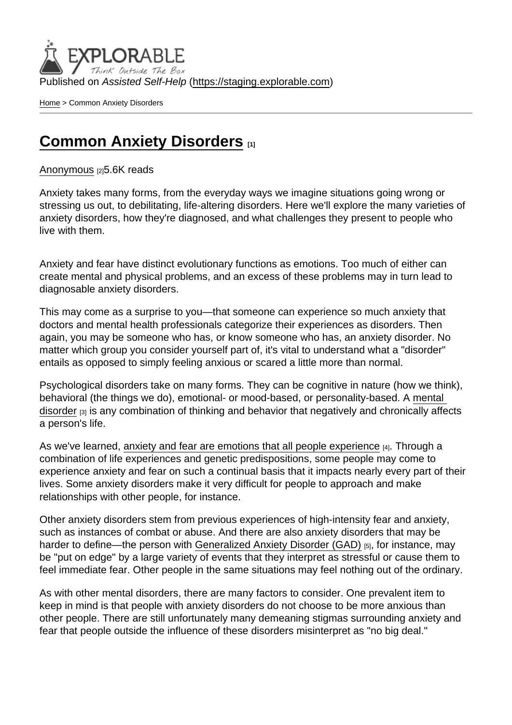Published on Assisted Self-Help [\(https://staging.explorable.com](https://staging.explorable.com))

[Home](https://staging.explorable.com/en) > Common Anxiety Disorders

## **[Common Anxiety Disorders](https://staging.explorable.com/en/e/common-anxiety-disorders)**

[Anonymous](https://staging.explorable.com/en/users/grharriman) [2]5.6K reads

Anxiety takes many forms, from the everyday ways we imagine situations going wrong or stressing us out, to debilitating, life-altering disorders. Here we'll explore the many varieties of anxiety disorders, how they're diagnosed, and what challenges they present to people who live with them.

Anxiety and fear have distinct evolutionary functions as emotions. Too much of either can create mental and physical problems, and an excess of these problems may in turn lead to diagnosable anxiety disorders.

This may come as a surprise to you—that someone can experience so much anxiety that doctors and mental health professionals categorize their experiences as disorders. Then again, you may be someone who has, or know someone who has, an anxiety disorder. No matter which group you consider yourself part of, it's vital to understand what a "disorder" entails as opposed to simply feeling anxious or scared a little more than normal.

Psychological disorders take on many forms. They can be cognitive in nature (how we think), behavioral (the things we do), emotional- or mood-based, or personality-based. A [mental](http://www.cdc.gov/mentalhealth/basics/mental-illness.htm)  [disorder](http://www.cdc.gov/mentalhealth/basics/mental-illness.htm) [3] is any combination of thinking and behavior that negatively and chronically affects a person's life.

As we've learned, [anxiety and fear are emotions that all people experience](https://explorable.com/fear-anxiety-the-brain-physiology) [4]. Through a combination of life experiences and genetic predispositions, some people may come to experience anxiety and fear on such a continual basis that it impacts nearly every part of their lives. Some anxiety disorders make it very difficult for people to approach and make relationships with other people, for instance.

Other anxiety disorders stem from previous experiences of high-intensity fear and anxiety, such as instances of combat or abuse. And there are also anxiety disorders that may be harder to define—the person with [Generalized Anxiety Disorder \(GAD\)](https://explorable.com/general-anxiety-disorder-gad) [5], for instance, may be "put on edge" by a large variety of events that they interpret as stressful or cause them to feel immediate fear. Other people in the same situations may feel nothing out of the ordinary.

As with other mental disorders, there are many factors to consider. One prevalent item to keep in mind is that people with anxiety disorders do not choose to be more anxious than other people. There are still unfortunately many demeaning stigmas surrounding anxiety and fear that people outside the influence of these disorders misinterpret as "no big deal."